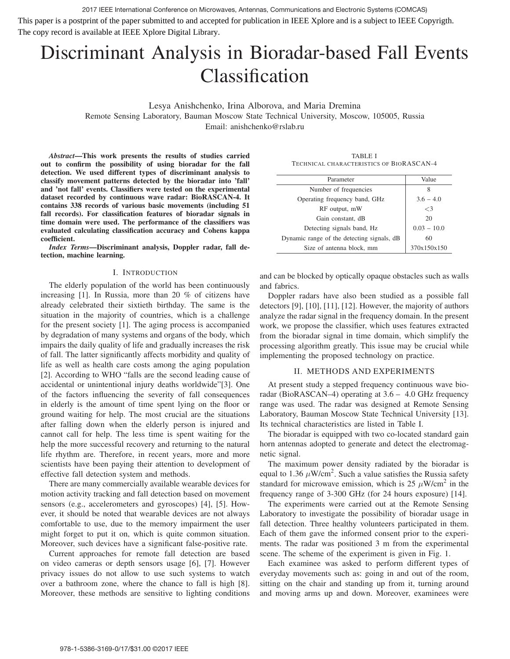2017 IEEE International Conference on Microwaves, Antennas, Communications and Electronic Systems (COMCAS) This paper is a postprint of the paper submitted to and accepted for publication in IEEE Xplore and is a subject to IEEE Copyrigth. The copy record is available at IEEE Xplore Digital Library.

# Discriminant Analysis in Bioradar-based Fall Events Classification

Lesya Anishchenko, Irina Alborova, and Maria Dremina Remote Sensing Laboratory, Bauman Moscow State Technical University, Moscow, 105005, Russia Email: anishchenko@rslab.ru

*Abstract*—This work presents the results of studies carried out to confirm the possibility of using bioradar for the fall detection. We used different types of discriminant analysis to classify movement patterns detected by the bioradar into 'fall' and 'not fall' events. Classifiers were tested on the experimental dataset recorded by continuous wave radar: BioRASCAN-4. It contains 338 records of various basic movements (including 51 fall records). For classification features of bioradar signals in time domain were used. The performance of the classifiers was evaluated calculating classification accuracy and Cohens kappa coefficient.

*Index Terms*—Discriminant analysis, Doppler radar, fall detection, machine learning.

## I. INTRODUCTION

The elderly population of the world has been continuously increasing [1]. In Russia, more than 20 % of citizens have already celebrated their sixtieth birthday. The same is the situation in the majority of countries, which is a challenge for the present society [1]. The aging process is accompanied by degradation of many systems and organs of the body, which impairs the daily quality of life and gradually increases the risk of fall. The latter significantly affects morbidity and quality of life as well as health care costs among the aging population [2]. According to WHO "falls are the second leading cause of accidental or unintentional injury deaths worldwide"[3]. One of the factors influencing the severity of fall consequences in elderly is the amount of time spent lying on the floor or ground waiting for help. The most crucial are the situations after falling down when the elderly person is injured and cannot call for help. The less time is spent waiting for the help the more successful recovery and returning to the natural life rhythm are. Therefore, in recent years, more and more scientists have been paying their attention to development of effective fall detection system and methods.

There are many commercially available wearable devices for motion activity tracking and fall detection based on movement sensors (e.g., accelerometers and gyroscopes) [4], [5]. However, it should be noted that wearable devices are not always comfortable to use, due to the memory impairment the user might forget to put it on, which is quite common situation. Moreover, such devices have a significant false-positive rate.

Current approaches for remote fall detection are based on video cameras or depth sensors usage [6], [7]. However privacy issues do not allow to use such systems to watch over a bathroom zone, where the chance to fall is high [8]. Moreover, these methods are sensitive to lighting conditions

TABLE I TECHNICAL CHARACTERISTICS OF BIORASCAN-4

| Parameter                                  | Value         |  |
|--------------------------------------------|---------------|--|
| Number of frequencies                      | 8             |  |
| Operating frequency band, GHz              | $3.6 - 4.0$   |  |
| RF output, mW                              | $\leq$ 3      |  |
| Gain constant, dB                          | 20            |  |
| Detecting signals band, Hz                 | $0.03 - 10.0$ |  |
| Dynamic range of the detecting signals, dB | 60            |  |
| Size of antenna block, mm                  | 370x150x150   |  |

and can be blocked by optically opaque obstacles such as walls and fabrics.

Doppler radars have also been studied as a possible fall detectors [9], [10], [11], [12]. However, the majority of authors analyze the radar signal in the frequency domain. In the present work, we propose the classifier, which uses features extracted from the bioradar signal in time domain, which simplify the processing algorithm greatly. This issue may be crucial while implementing the proposed technology on practice.

## II. METHODS AND EXPERIMENTS

At present study a stepped frequency continuous wave bioradar (BioRASCAN–4) operating at 3.6 – 4.0 GHz frequency range was used. The radar was designed at Remote Sensing Laboratory, Bauman Moscow State Technical University [13]. Its technical characteristics are listed in Table I.

The bioradar is equipped with two co-located standard gain horn antennas adopted to generate and detect the electromagnetic signal.

The maximum power density radiated by the bioradar is equal to 1.36  $\mu$ W/cm<sup>2</sup>. Such a value satisfies the Russia safety standard for microwave emission, which is 25  $\mu$ W/cm<sup>2</sup> in the frequency range of 3-300 GHz (for 24 hours exposure) [14].

The experiments were carried out at the Remote Sensing Laboratory to investigate the possibility of bioradar usage in fall detection. Three healthy volunteers participated in them. Each of them gave the informed consent prior to the experiments. The radar was positioned 3 m from the experimental scene. The scheme of the experiment is given in Fig. 1.

Each examinee was asked to perform different types of everyday movements such as: going in and out of the room, sitting on the chair and standing up from it, turning around and moving arms up and down. Moreover, examinees were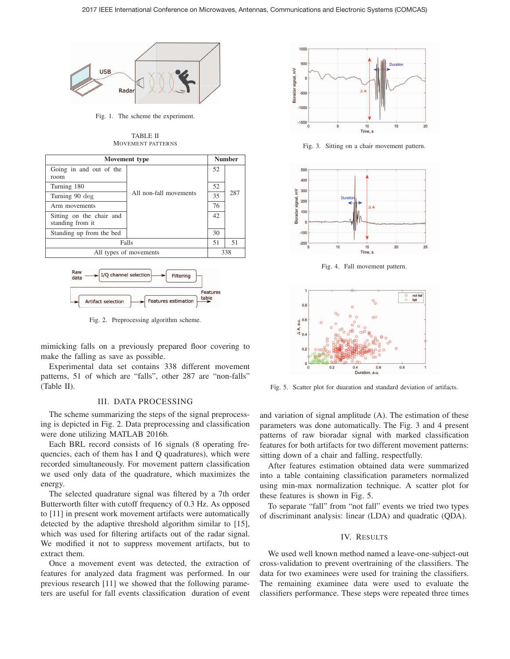

Fig. 1. The scheme the experiment.

TABLE II MOVEMENT PATTERNS



Fig. 2. Preprocessing algorithm scheme.

Artifact selection

Features estimation

mimicking falls on a previously prepared floor covering to make the falling as save as possible.

Experimental data set contains 338 different movement patterns, 51 of which are "falls", other 287 are "non-falls" (Table II).

### III. DATA PROCESSING

The scheme summarizing the steps of the signal preprocessing is depicted in Fig. 2. Data preprocessing and classification were done utilizing MATLAB 2016b.

Each BRL record consists of 16 signals (8 operating frequencies, each of them has I and Q quadratures), which were recorded simultaneously. For movement pattern classification we used only data of the quadrature, which maximizes the energy.

The selected quadrature signal was filtered by a 7th order Butterworth filter with cutoff frequency of 0.3 Hz. As opposed to [11] in present work movement artifacts were automatically detected by the adaptive threshold algorithm similar to [15], which was used for filtering artifacts out of the radar signal. We modified it not to suppress movement artifacts, but to extract them.

Once a movement event was detected, the extraction of features for analyzed data fragment was performed. In our previous research [11] we showed that the following parameters are useful for fall events classification duration of event



Fig. 3. Sitting on a chair movement pattern.



Fig. 4. Fall movement pattern.



Fig. 5. Scatter plot for duaration and standard deviation of artifacts.

and variation of signal amplitude (A). The estimation of these parameters was done automatically. The Fig. 3 and 4 present patterns of raw bioradar signal with marked classification features for both artifacts for two different movement patterns: sitting down of a chair and falling, respectfully.

After features estimation obtained data were summarized into a table containing classification parameters normalized using min-max normalization technique. A scatter plot for these features is shown in Fig. 5.

To separate "fall" from "not fall" events we tried two types of discriminant analysis: linear (LDA) and quadratic (QDA).

## IV. RESULTS

We used well known method named a leave-one-subject-out cross-validation to prevent overtraining of the classifiers. The data for two examinees were used for training the classifiers. The remaining examinee data were used to evaluate the classifiers performance. These steps were repeated three times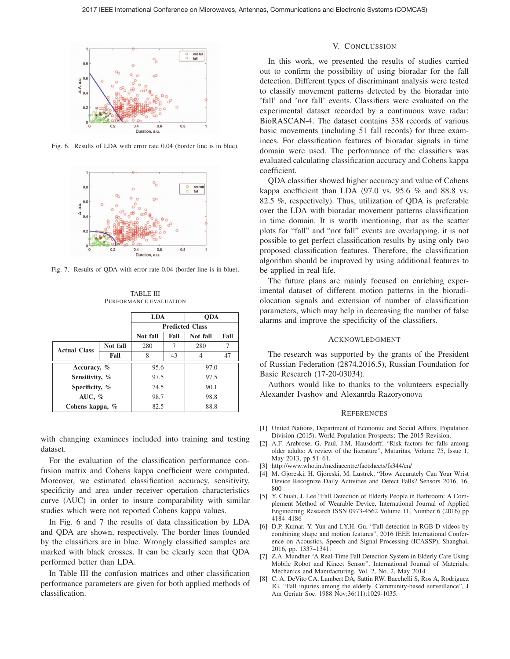

Fig. 6. Results of LDA with error rate 0.04 (border line is in blue).



Fig. 7. Results of QDA with error rate 0.04 (border line is in blue).

TABLE III PERFORMANCE EVALUATION

|                     |          | <b>LDA</b>             |      | <b>ODA</b> |      |
|---------------------|----------|------------------------|------|------------|------|
|                     |          | <b>Predicted Class</b> |      |            |      |
|                     |          | Not fall               | Fall | Not fall   | Fall |
| <b>Actual Class</b> | Not fall | 280                    |      | 280        | 7    |
|                     | Fall     | 8                      | 43   | 4          | 47   |
| Accuracy, %         |          | 95.6                   |      | 97.0       |      |
| Sensitivity, %      |          | 97.5                   |      | 97.5       |      |
| Specificity, %      |          | 74.5                   |      | 90.1       |      |
| AUC, $%$            |          | 98.7                   |      | 98.8       |      |
| Cohens kappa, %     |          | 82.5                   |      | 88.8       |      |

with changing examinees included into training and testing dataset.

For the evaluation of the classification performance confusion matrix and Cohens kappa coefficient were computed. Moreover, we estimated classification accuracy, sensitivity, specificity and area under receiver operation characteristics curve (AUC) in order to insure comparability with similar studies which were not reported Cohens kappa values.

In Fig. 6 and 7 the results of data classification by LDA and QDA are shown, respectively. The border lines founded by the classifiers are in blue. Wrongly classified samples are marked with black crosses. It can be clearly seen that QDA performed better than LDA.

In Table III the confusion matrices and other classification performance parameters are given for both applied methods of classification.

## V. CONCLUSSION

In this work, we presented the results of studies carried out to confirm the possibility of using bioradar for the fall detection. Different types of discriminant analysis were tested to classify movement patterns detected by the bioradar into 'fall' and 'not fall' events. Classifiers were evaluated on the experimental dataset recorded by a continuous wave radar: BioRASCAN-4. The dataset contains 338 records of various basic movements (including 51 fall records) for three examinees. For classification features of bioradar signals in time domain were used. The performance of the classifiers was evaluated calculating classification accuracy and Cohens kappa coefficient.

QDA classifier showed higher accuracy and value of Cohens kappa coefficient than LDA  $(97.0 \text{ vs. } 95.6 \% \text{ and } 88.8 \text{ vs. }$ 82.5 %, respectively). Thus, utilization of QDA is preferable over the LDA with bioradar movement patterns classification in time domain. It is worth mentioning, that as the scatter plots for "fall" and "not fall" events are overlapping, it is not possible to get perfect classification results by using only two proposed classification features. Therefore, the classification algorithm should be improved by using additional features to be applied in real life.

The future plans are mainly focused on enriching experimental dataset of different motion patterns in the bioradiolocation signals and extension of number of classification parameters, which may help in decreasing the number of false alarms and improve the specificity of the classifiers.

### ACKNOWLEDGMENT

The research was supported by the grants of the President of Russian Federation (2874.2016.5), Russian Foundation for Basic Research (17-20-03034).

Authors would like to thanks to the volunteers especially Alexander Ivashov and Alexanrda Razoryonova

#### **REFERENCES**

- [1] United Nations, Department of Economic and Social Affairs, Population Division (2015). World Population Prospects: The 2015 Revision.
- [2] A.F. Ambrose, G. Paul, J.M. Hausdorff, "Risk factors for falls among older adults: A review of the literature", Maturitas, Volume 75, Issue 1, May 2013, pp 51–61.
- [3] http://www.who.int/mediacentre/factsheets/fs344/en/
- [4] M. Gjoreski, H. Gjoreski, M. Lustrek, "How Accurately Can Your Wrist Device Recognize Daily Activities and Detect Falls? Sensors 2016, 16, 800
- [5] Y. Chuah, J. Lee "Fall Detection of Elderly People in Bathroom: A Complement Method of Wearable Device, International Journal of Applied Engineering Research ISSN 0973-4562 Volume 11, Number 6 (2016) pp 4184–4186
- [6] D.P. Kumar, Y. Yun and I.Y.H. Gu, "Fall detection in RGB-D videos by combining shape and motion features", 2016 IEEE International Conference on Acoustics, Speech and Signal Processing (ICASSP), Shanghai, 2016, pp. 1337–1341.
- [7] Z.A. Mundher "A Real-Time Fall Detection System in Elderly Care Using Mobile Robot and Kinect Sensor", International Journal of Materials, Mechanics and Manufacturing, Vol. 2, No. 2, May 2014
- [8] C. A. DeVito CA, Lambert DA, Sattin RW, Bacchelli S, Ros A, Rodriguez JG. "Fall injuries among the elderly. Community-based surveillance", J Am Geriatr Soc. 1988 Nov;36(11):1029-1035.